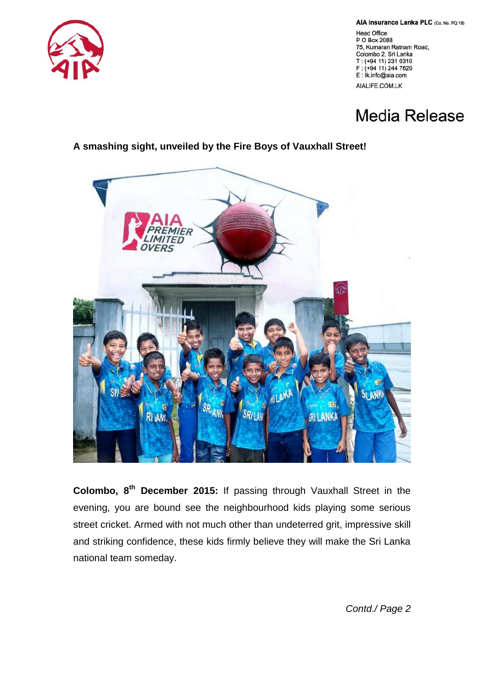

AIA Insurance Lanka PLC (Co. No. PQ 18)

**Head Office** P O Box 2088 75, Kumaran Ratnam Road, Colombo 2, Sri Lanka T: (+94 11) 231 0310 F: (+94 11) 244 7620 E: Ik.info@aia.com

AIALIFE.COM.LK

## **Media Release**

## **A smashing sight, unveiled by the Fire Boys of Vauxhall Street!**



**Colombo, 8th December 2015:** If passing through Vauxhall Street in the evening, you are bound see the neighbourhood kids playing some serious street cricket. Armed with not much other than undeterred grit, impressive skill and striking confidence, these kids firmly believe they will make the Sri Lanka national team someday.

*Contd./ Page 2*